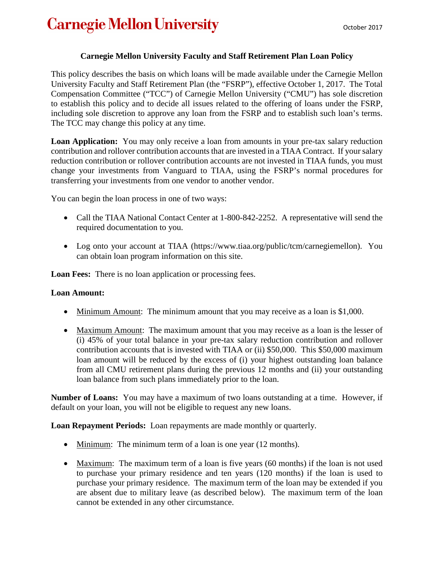## **Carnegie Mellon University**

## **Carnegie Mellon University Faculty and Staff Retirement Plan Loan Policy**

This policy describes the basis on which loans will be made available under the Carnegie Mellon University Faculty and Staff Retirement Plan (the "FSRP"), effective October 1, 2017. The Total Compensation Committee ("TCC") of Carnegie Mellon University ("CMU") has sole discretion to establish this policy and to decide all issues related to the offering of loans under the FSRP, including sole discretion to approve any loan from the FSRP and to establish such loan's terms. The TCC may change this policy at any time.

**Loan Application:** You may only receive a loan from amounts in your pre-tax salary reduction contribution and rollover contribution accounts that are invested in a TIAA Contract. If your salary reduction contribution or rollover contribution accounts are not invested in TIAA funds, you must change your investments from Vanguard to TIAA, using the FSRP's normal procedures for transferring your investments from one vendor to another vendor.

You can begin the loan process in one of two ways:

- Call the TIAA National Contact Center at 1-800-842-2252. A representative will send the required documentation to you.
- Log onto your account at TIAA (https://www.tiaa.org/public/tcm/carnegiemellon). You can obtain loan program information on this site.

**Loan Fees:** There is no loan application or processing fees.

## **Loan Amount:**

- Minimum Amount: The minimum amount that you may receive as a loan is \$1,000.
- Maximum Amount: The maximum amount that you may receive as a loan is the lesser of (i) 45% of your total balance in your pre-tax salary reduction contribution and rollover contribution accounts that is invested with TIAA or (ii) \$50,000. This \$50,000 maximum loan amount will be reduced by the excess of (i) your highest outstanding loan balance from all CMU retirement plans during the previous 12 months and (ii) your outstanding loan balance from such plans immediately prior to the loan.

**Number of Loans:** You may have a maximum of two loans outstanding at a time. However, if default on your loan, you will not be eligible to request any new loans.

**Loan Repayment Periods:** Loan repayments are made monthly or quarterly.

- Minimum: The minimum term of a loan is one year (12 months).
- Maximum: The maximum term of a loan is five years (60 months) if the loan is not used to purchase your primary residence and ten years (120 months) if the loan is used to purchase your primary residence. The maximum term of the loan may be extended if you are absent due to military leave (as described below). The maximum term of the loan cannot be extended in any other circumstance.